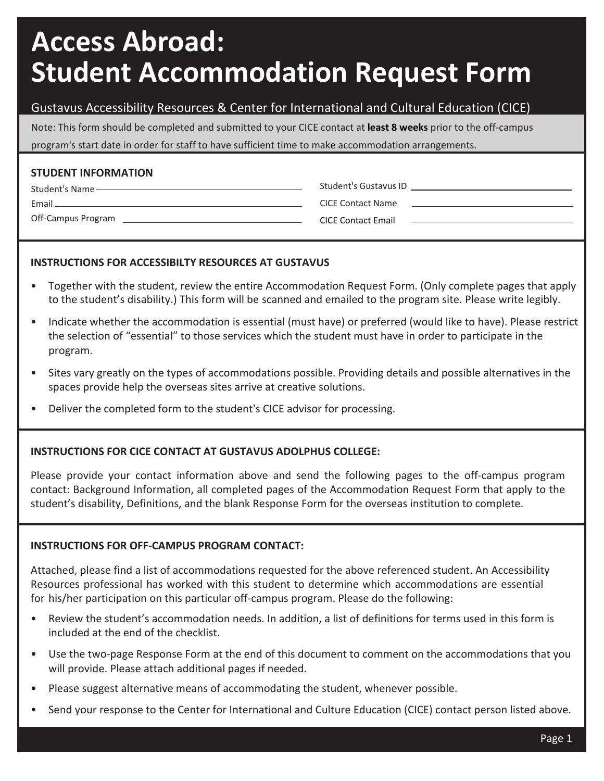# **Access Abroad: Student Accommodation Request Form**

### Gustavus Accessibility Resources & Center for International and Cultural Education (CICE)

Note: This form should be completed and submitted to your CICE contact at **least 8 weeks** prior to the off-campus program's start date in order for staff to have sufficient time to make accommodation arrangements.

#### **STUDENT INFORMATION**

Student's Name Email

Off-Campus Program

CICE Contact Name

Student's Gustavus ID

CICE Contact Email

### **INSTRUCTIONS FOR ACCESSIBILTY RESOURCES AT GUSTAVUS**

- Together with the student, review the entire Accommodation Request Form. (Only complete pages that apply to the student's disability.) This form will be scanned and emailed to the program site. Please write legibly.
- Indicate whether the accommodation is essential (must have) or preferred (would like to have). Please restrict the selection of "essential" to those services which the student must have in order to participate in the program.
- Sites vary greatly on the types of accommodations possible. Providing details and possible alternatives in the spaces provide help the overseas sites arrive at creative solutions.
- Deliver the completed form to the student's CICE advisor for processing.

### **INSTRUCTIONS FOR CICE CONTACT AT GUSTAVUS ADOLPHUS COLLEGE:**

Please provide your contact information above and send the following pages to the off-campus program contact: Background Information, all completed pages of the Accommodation Request Form that apply to the student's disability, Definitions, and the blank Response Form for the overseas institution to complete.

### **INSTRUCTIONS FOR OFF-CAMPUS PROGRAM CONTACT:**

Attached, please find a list of accommodations requested for the above referenced student. An Accessibility Resources professional has worked with this student to determine which accommodations are essential for his/her participation on this particular off-campus program. Please do the following:

- Review the student's accommodation needs. In addition, a list of definitions for terms used in this form is included at the end of the checklist.
- Use the two-page Response Form at the end of this document to comment on the accommodations that you will provide. Please attach additional pages if needed.
- Please suggest alternative means of accommodating the student, whenever possible.
- Send your response to the Center for International and Culture Education (CICE) contact person listed above.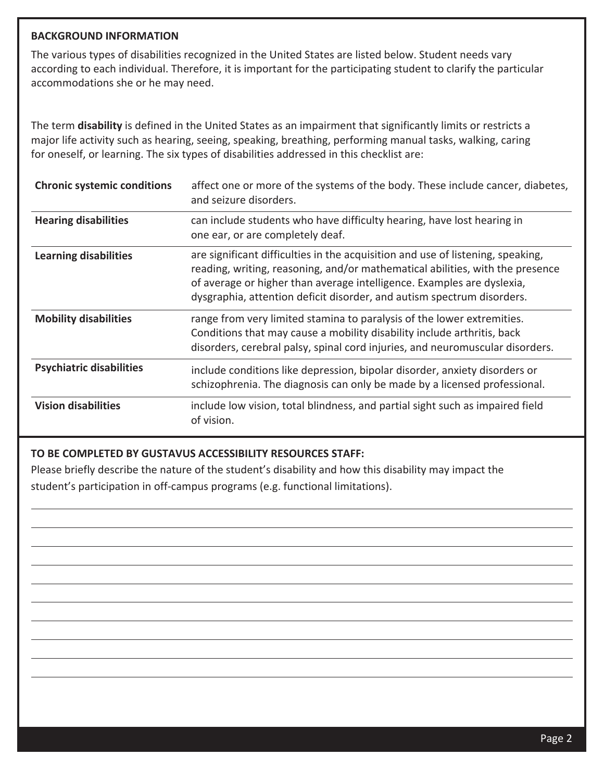#### **BACKGROUND INFORMATION**

The various types of disabilities recognized in the United States are listed below. Student needs vary according to each individual. Therefore, it is important for the participating student to clarify the particular accommodations she or he may need.

The term **disability** is defined in the United States as an impairment that significantly limits or restricts a major life activity such as hearing, seeing, speaking, breathing, performing manual tasks, walking, caring for oneself, or learning. The six types of disabilities addressed in this checklist are:

| <b>Chronic systemic conditions</b> | affect one or more of the systems of the body. These include cancer, diabetes,<br>and seizure disorders.                                                                                                                                                                                                             |
|------------------------------------|----------------------------------------------------------------------------------------------------------------------------------------------------------------------------------------------------------------------------------------------------------------------------------------------------------------------|
| <b>Hearing disabilities</b>        | can include students who have difficulty hearing, have lost hearing in<br>one ear, or are completely deaf.                                                                                                                                                                                                           |
| <b>Learning disabilities</b>       | are significant difficulties in the acquisition and use of listening, speaking,<br>reading, writing, reasoning, and/or mathematical abilities, with the presence<br>of average or higher than average intelligence. Examples are dyslexia,<br>dysgraphia, attention deficit disorder, and autism spectrum disorders. |
| <b>Mobility disabilities</b>       | range from very limited stamina to paralysis of the lower extremities.<br>Conditions that may cause a mobility disability include arthritis, back<br>disorders, cerebral palsy, spinal cord injuries, and neuromuscular disorders.                                                                                   |
| <b>Psychiatric disabilities</b>    | include conditions like depression, bipolar disorder, anxiety disorders or<br>schizophrenia. The diagnosis can only be made by a licensed professional.                                                                                                                                                              |
| <b>Vision disabilities</b>         | include low vision, total blindness, and partial sight such as impaired field<br>of vision.                                                                                                                                                                                                                          |

#### **TO BE COMPLETED BY GUSTAVUS ACCESSIBILITY RESOURCES STAFF:**

Please briefly describe the nature of the student's disability and how this disability may impact the student's participation in off-campus programs (e.g. functional limitations).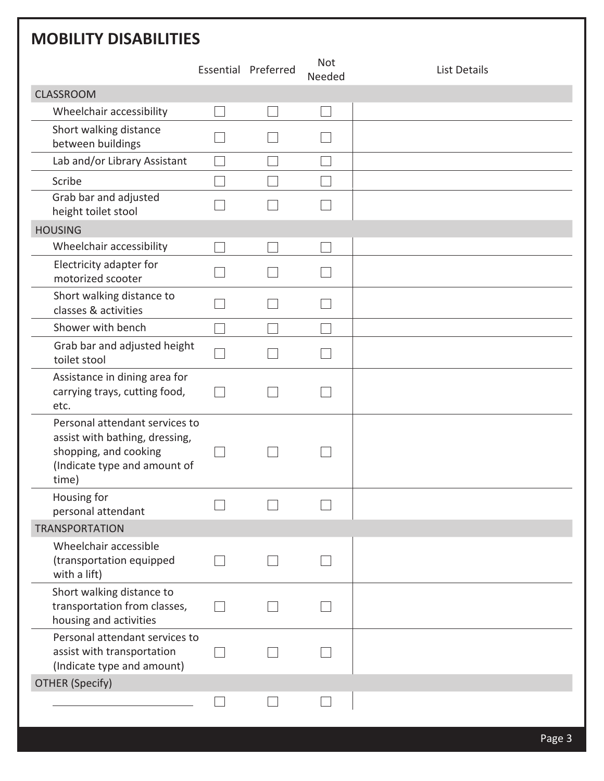# **MOBILITY DISABILITIES**

|                                                                                                                                    | Essential Preferred | <b>Not</b><br>Needed | <b>List Details</b> |
|------------------------------------------------------------------------------------------------------------------------------------|---------------------|----------------------|---------------------|
| <b>CLASSROOM</b>                                                                                                                   |                     |                      |                     |
| Wheelchair accessibility                                                                                                           |                     |                      |                     |
| Short walking distance<br>between buildings                                                                                        |                     |                      |                     |
| Lab and/or Library Assistant                                                                                                       |                     |                      |                     |
| Scribe                                                                                                                             |                     |                      |                     |
| Grab bar and adjusted<br>height toilet stool                                                                                       |                     |                      |                     |
| <b>HOUSING</b>                                                                                                                     |                     |                      |                     |
| Wheelchair accessibility                                                                                                           |                     |                      |                     |
| Electricity adapter for<br>motorized scooter                                                                                       |                     |                      |                     |
| Short walking distance to<br>classes & activities                                                                                  |                     |                      |                     |
| Shower with bench                                                                                                                  |                     |                      |                     |
| Grab bar and adjusted height<br>toilet stool                                                                                       |                     |                      |                     |
| Assistance in dining area for<br>carrying trays, cutting food,<br>etc.                                                             |                     |                      |                     |
| Personal attendant services to<br>assist with bathing, dressing,<br>shopping, and cooking<br>(Indicate type and amount of<br>time) |                     |                      |                     |
| Housing for<br>personal attendant                                                                                                  |                     |                      |                     |
| <b>TRANSPORTATION</b>                                                                                                              |                     |                      |                     |
| Wheelchair accessible<br>(transportation equipped<br>with a lift)                                                                  |                     |                      |                     |
| Short walking distance to<br>transportation from classes,<br>housing and activities                                                |                     |                      |                     |
| Personal attendant services to<br>assist with transportation<br>(Indicate type and amount)                                         |                     |                      |                     |
| <b>OTHER (Specify)</b>                                                                                                             |                     |                      |                     |
|                                                                                                                                    |                     |                      |                     |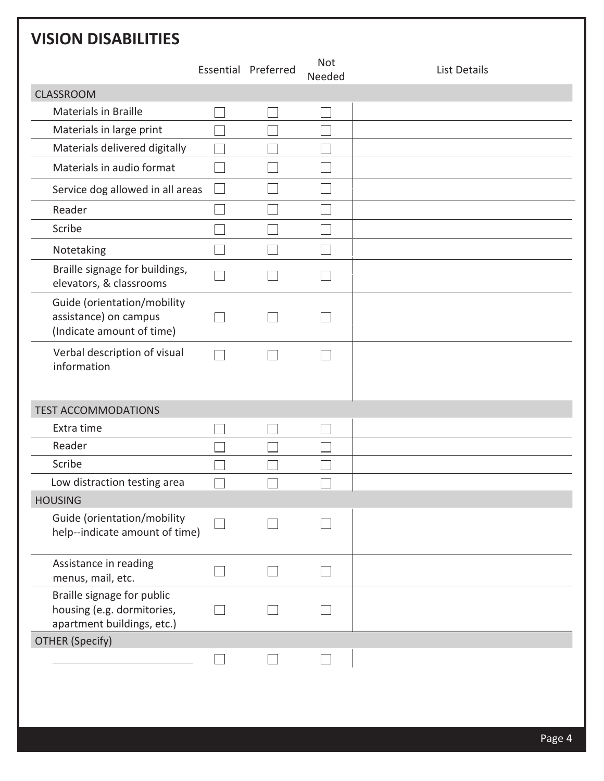| <b>VISION DISABILITIES</b>                                                             |                     |                      |                     |
|----------------------------------------------------------------------------------------|---------------------|----------------------|---------------------|
|                                                                                        | Essential Preferred | <b>Not</b><br>Needed | <b>List Details</b> |
| <b>CLASSROOM</b>                                                                       |                     |                      |                     |
| <b>Materials in Braille</b>                                                            |                     |                      |                     |
| Materials in large print                                                               |                     |                      |                     |
| Materials delivered digitally                                                          |                     |                      |                     |
| Materials in audio format                                                              |                     |                      |                     |
| Service dog allowed in all areas                                                       |                     |                      |                     |
| Reader                                                                                 |                     |                      |                     |
| Scribe                                                                                 |                     |                      |                     |
| Notetaking                                                                             |                     |                      |                     |
| Braille signage for buildings,<br>elevators, & classrooms                              |                     |                      |                     |
| Guide (orientation/mobility<br>assistance) on campus<br>(Indicate amount of time)      |                     |                      |                     |
| Verbal description of visual<br>information                                            |                     |                      |                     |
| <b>TEST ACCOMMODATIONS</b>                                                             |                     |                      |                     |
| Extra time                                                                             |                     |                      |                     |
| Reader                                                                                 |                     |                      |                     |
| Scribe                                                                                 |                     |                      |                     |
| Low distraction testing area                                                           |                     |                      |                     |
| <b>HOUSING</b>                                                                         |                     |                      |                     |
| Guide (orientation/mobility<br>help--indicate amount of time)                          |                     |                      |                     |
| Assistance in reading<br>menus, mail, etc.                                             |                     |                      |                     |
| Braille signage for public<br>housing (e.g. dormitories,<br>apartment buildings, etc.) |                     |                      |                     |
| <b>OTHER (Specify)</b>                                                                 |                     |                      |                     |
|                                                                                        |                     |                      |                     |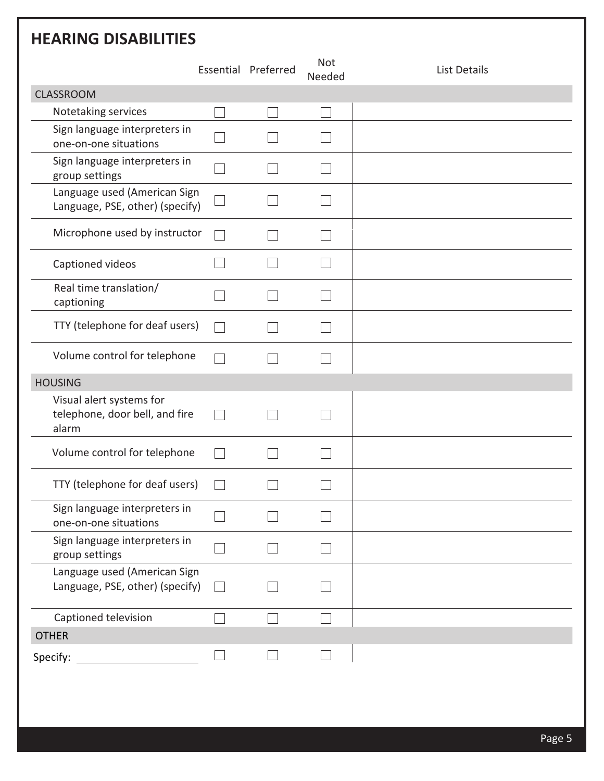| <b>HEARING DISABILITIES</b>                                         |                     |                      |              |
|---------------------------------------------------------------------|---------------------|----------------------|--------------|
|                                                                     | Essential Preferred | <b>Not</b><br>Needed | List Details |
| <b>CLASSROOM</b>                                                    |                     |                      |              |
| Notetaking services                                                 |                     |                      |              |
| Sign language interpreters in<br>one-on-one situations              |                     |                      |              |
| Sign language interpreters in<br>group settings                     |                     |                      |              |
| Language used (American Sign<br>Language, PSE, other) (specify)     |                     |                      |              |
| Microphone used by instructor                                       |                     |                      |              |
| Captioned videos                                                    |                     |                      |              |
| Real time translation/<br>captioning                                |                     |                      |              |
| TTY (telephone for deaf users)                                      |                     |                      |              |
| Volume control for telephone                                        |                     |                      |              |
| <b>HOUSING</b>                                                      |                     |                      |              |
| Visual alert systems for<br>telephone, door bell, and fire<br>alarm |                     |                      |              |
| Volume control for telephone                                        |                     |                      |              |
| TTY (telephone for deaf users)                                      |                     |                      |              |
| Sign language interpreters in<br>one-on-one situations              |                     |                      |              |
| Sign language interpreters in<br>group settings                     |                     |                      |              |
| Language used (American Sign<br>Language, PSE, other) (specify)     |                     |                      |              |
| Captioned television                                                |                     |                      |              |
| <b>OTHER</b>                                                        |                     |                      |              |
| Specify:                                                            |                     |                      |              |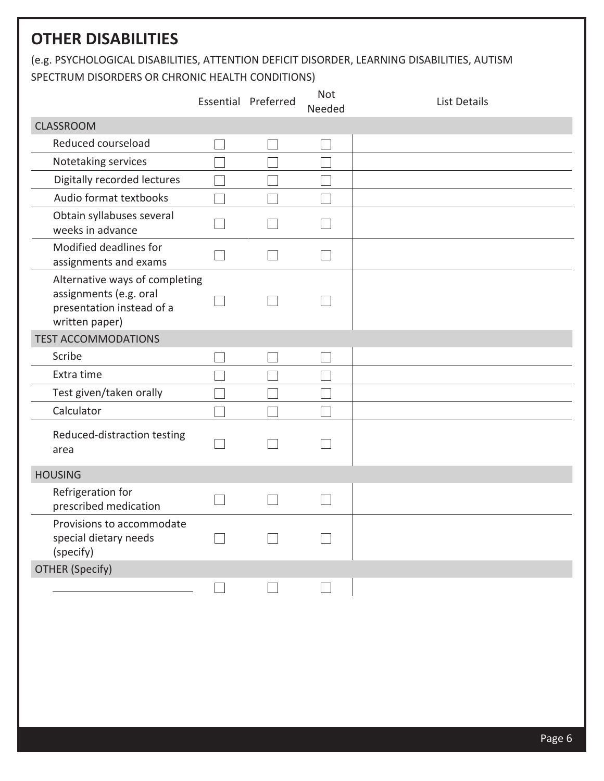## **OTHER DISABILITIES**

(e.g. PSYCHOLOGICAL DISABILITIES, ATTENTION DEFICIT DISORDER, LEARNING DISABILITIES, AUTISM SPECTRUM DISORDERS OR CHRONIC HEALTH CONDITIONS)

|                                                                                                         | Essential Preferred | Not<br>Needed | <b>List Details</b> |
|---------------------------------------------------------------------------------------------------------|---------------------|---------------|---------------------|
| <b>CLASSROOM</b>                                                                                        |                     |               |                     |
| Reduced courseload                                                                                      |                     |               |                     |
| Notetaking services                                                                                     |                     |               |                     |
| Digitally recorded lectures                                                                             |                     |               |                     |
| Audio format textbooks                                                                                  |                     |               |                     |
| Obtain syllabuses several<br>weeks in advance                                                           |                     |               |                     |
| Modified deadlines for<br>assignments and exams                                                         |                     |               |                     |
| Alternative ways of completing<br>assignments (e.g. oral<br>presentation instead of a<br>written paper) |                     |               |                     |
| <b>TEST ACCOMMODATIONS</b>                                                                              |                     |               |                     |
| Scribe                                                                                                  |                     |               |                     |
| Extra time                                                                                              |                     |               |                     |
| Test given/taken orally                                                                                 |                     |               |                     |
| Calculator                                                                                              |                     |               |                     |
| Reduced-distraction testing<br>area                                                                     |                     |               |                     |
| <b>HOUSING</b>                                                                                          |                     |               |                     |
| Refrigeration for<br>prescribed medication                                                              |                     |               |                     |
| Provisions to accommodate<br>special dietary needs<br>(specify)                                         |                     |               |                     |
| <b>OTHER (Specify)</b>                                                                                  |                     |               |                     |
|                                                                                                         |                     |               |                     |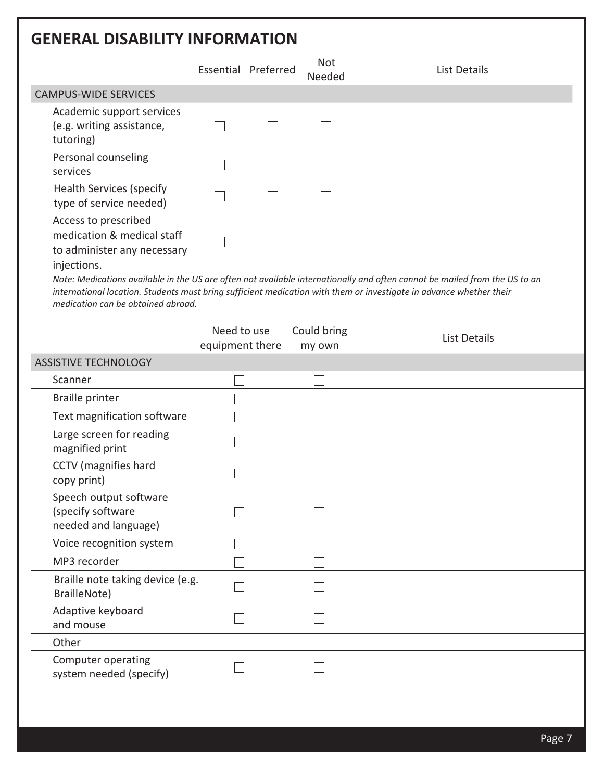# **GENERAL DISABILITY INFORMATION**

| <u>ul Dijadili i ini Univiativn</u>                                                                                                    |                                |                     |                       |                                                                                                                                                                                                                                                   |
|----------------------------------------------------------------------------------------------------------------------------------------|--------------------------------|---------------------|-----------------------|---------------------------------------------------------------------------------------------------------------------------------------------------------------------------------------------------------------------------------------------------|
|                                                                                                                                        |                                | Essential Preferred | <b>Not</b><br>Needed  | <b>List Details</b>                                                                                                                                                                                                                               |
| <b>CAMPUS-WIDE SERVICES</b>                                                                                                            |                                |                     |                       |                                                                                                                                                                                                                                                   |
| Academic support services<br>(e.g. writing assistance,<br>tutoring)                                                                    |                                |                     |                       |                                                                                                                                                                                                                                                   |
| Personal counseling<br>services                                                                                                        |                                |                     |                       |                                                                                                                                                                                                                                                   |
| <b>Health Services (specify</b><br>type of service needed)                                                                             |                                |                     |                       |                                                                                                                                                                                                                                                   |
| Access to prescribed<br>medication & medical staff<br>to administer any necessary<br>injections.<br>medication can be obtained abroad. |                                |                     |                       | Note: Medications available in the US are often not available internationally and often cannot be mailed from the US to an<br>international location. Students must bring sufficient medication with them or investigate in advance whether their |
|                                                                                                                                        | Need to use<br>equipment there |                     | Could bring<br>my own | <b>List Details</b>                                                                                                                                                                                                                               |
| <b>ASSISTIVE TECHNOLOGY</b>                                                                                                            |                                |                     |                       |                                                                                                                                                                                                                                                   |
| Scanner                                                                                                                                |                                |                     |                       |                                                                                                                                                                                                                                                   |
| Braille printer                                                                                                                        |                                |                     |                       |                                                                                                                                                                                                                                                   |
| Text magnification software                                                                                                            |                                |                     |                       |                                                                                                                                                                                                                                                   |
| Large screen for reading<br>magnified print                                                                                            |                                |                     |                       |                                                                                                                                                                                                                                                   |
| CCTV (magnifies hard<br>copy print)                                                                                                    |                                |                     |                       |                                                                                                                                                                                                                                                   |
| Speech output software<br>(specify software<br>needed and language)                                                                    |                                |                     |                       |                                                                                                                                                                                                                                                   |
| Voice recognition system                                                                                                               |                                |                     |                       |                                                                                                                                                                                                                                                   |
| MP3 recorder                                                                                                                           |                                |                     |                       |                                                                                                                                                                                                                                                   |
| Braille note taking device (e.g.<br>BrailleNote)                                                                                       |                                |                     |                       |                                                                                                                                                                                                                                                   |
| Adaptive keyboard<br>and mouse                                                                                                         |                                |                     |                       |                                                                                                                                                                                                                                                   |
| Other                                                                                                                                  |                                |                     |                       |                                                                                                                                                                                                                                                   |
| Computer operating<br>system needed (specify)                                                                                          |                                |                     |                       |                                                                                                                                                                                                                                                   |
|                                                                                                                                        |                                |                     |                       |                                                                                                                                                                                                                                                   |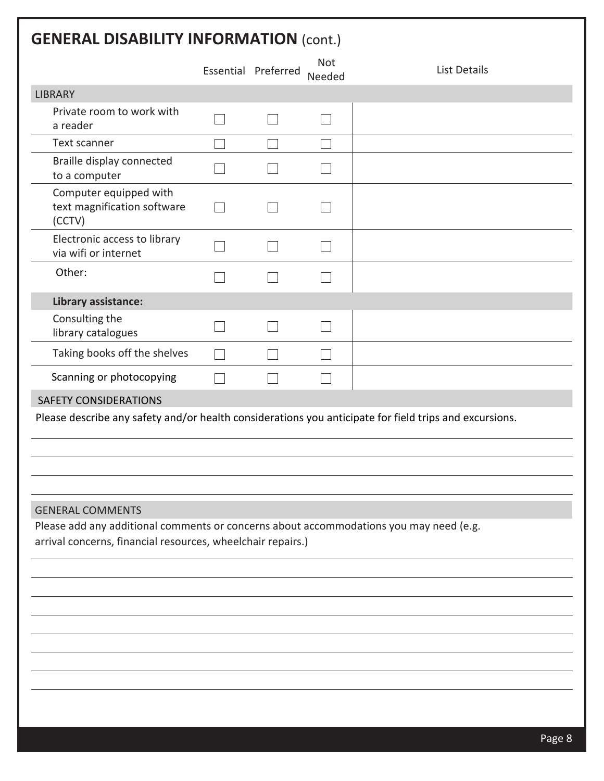# **GENERAL DISABILITY INFORMATION** (cont.)

|                                                                                        | Essential Preferred | <b>Not</b><br>Needed | <b>List Details</b>                                                                                    |
|----------------------------------------------------------------------------------------|---------------------|----------------------|--------------------------------------------------------------------------------------------------------|
| <b>LIBRARY</b>                                                                         |                     |                      |                                                                                                        |
| Private room to work with<br>a reader                                                  |                     |                      |                                                                                                        |
| Text scanner                                                                           |                     |                      |                                                                                                        |
| Braille display connected<br>to a computer                                             |                     |                      |                                                                                                        |
| Computer equipped with<br>text magnification software<br>(CCTV)                        |                     |                      |                                                                                                        |
| Electronic access to library<br>via wifi or internet                                   |                     |                      |                                                                                                        |
| Other:                                                                                 |                     |                      |                                                                                                        |
| Library assistance:                                                                    |                     |                      |                                                                                                        |
| Consulting the<br>library catalogues                                                   |                     |                      |                                                                                                        |
| Taking books off the shelves                                                           |                     |                      |                                                                                                        |
| Scanning or photocopying                                                               |                     |                      |                                                                                                        |
| <b>SAFETY CONSIDERATIONS</b>                                                           |                     |                      |                                                                                                        |
|                                                                                        |                     |                      | Please describe any safety and/or health considerations you anticipate for field trips and excursions. |
| <b>GENERAL COMMENTS</b>                                                                |                     |                      |                                                                                                        |
| Please add any additional comments or concerns about accommodations you may need (e.g. |                     |                      |                                                                                                        |
| arrival concerns, financial resources, wheelchair repairs.)                            |                     |                      |                                                                                                        |
|                                                                                        |                     |                      |                                                                                                        |
|                                                                                        |                     |                      |                                                                                                        |
|                                                                                        |                     |                      |                                                                                                        |
|                                                                                        |                     |                      |                                                                                                        |
|                                                                                        |                     |                      |                                                                                                        |
|                                                                                        |                     |                      |                                                                                                        |
|                                                                                        |                     |                      |                                                                                                        |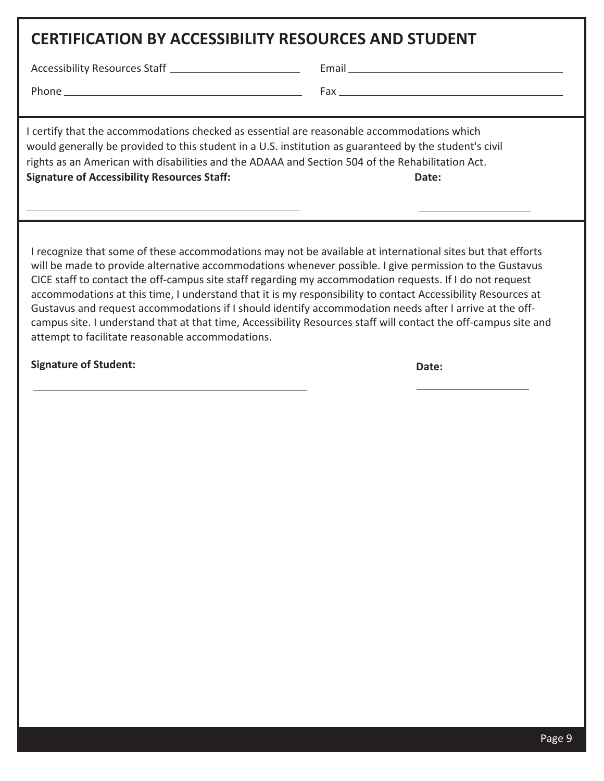### **CERTIFICATION BY ACCESSIBILITY RESOURCES AND STUDENT**

Accessibility Resources Staff Email

Phone Fax

I certify that the accommodations checked as essential are reasonable accommodations which would generally be provided to this student in a U.S. institution as guaranteed by the student's civil rights as an American with disabilities and the ADAAA and Section 504 of the Rehabilitation Act. **Signature of Accessibility Resources Staff: Date:**

I recognize that some of these accommodations may not be available at international sites but that efforts will be made to provide alternative accommodations whenever possible. I give permission to the Gustavus CICE staff to contact the off-campus site staff regarding my accommodation requests. If I do not request accommodations at this time, I understand that it is my responsibility to contact Accessibility Resources at Gustavus and request accommodations if I should identify accommodation needs after I arrive at the offcampus site. I understand that at that time, Accessibility Resources staff will contact the off-campus site and attempt to facilitate reasonable accommodations.

**Signature of Student: Date:**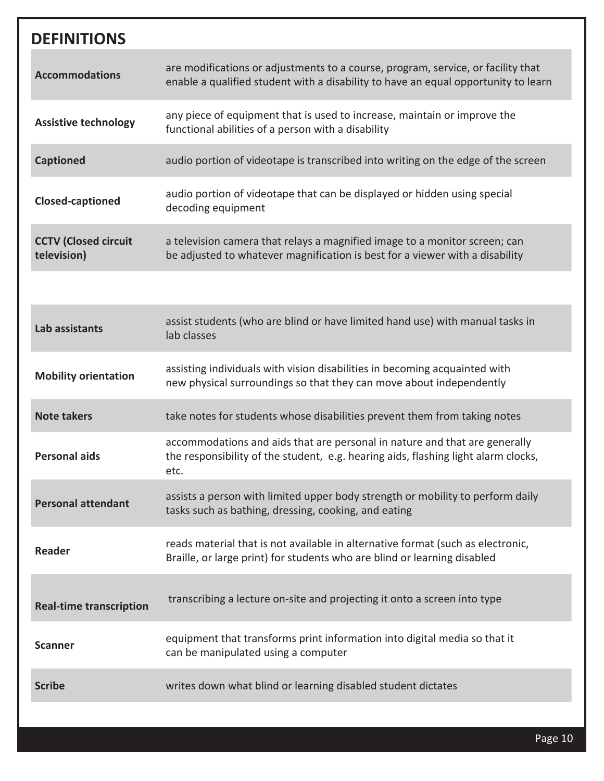| <b>DEFINITIONS</b>                         |                                                                                                                                                                          |
|--------------------------------------------|--------------------------------------------------------------------------------------------------------------------------------------------------------------------------|
| <b>Accommodations</b>                      | are modifications or adjustments to a course, program, service, or facility that<br>enable a qualified student with a disability to have an equal opportunity to learn   |
| <b>Assistive technology</b>                | any piece of equipment that is used to increase, maintain or improve the<br>functional abilities of a person with a disability                                           |
| <b>Captioned</b>                           | audio portion of videotape is transcribed into writing on the edge of the screen                                                                                         |
| <b>Closed-captioned</b>                    | audio portion of videotape that can be displayed or hidden using special<br>decoding equipment                                                                           |
| <b>CCTV (Closed circuit</b><br>television) | a television camera that relays a magnified image to a monitor screen; can<br>be adjusted to whatever magnification is best for a viewer with a disability               |
|                                            |                                                                                                                                                                          |
| Lab assistants                             | assist students (who are blind or have limited hand use) with manual tasks in<br>lab classes                                                                             |
| <b>Mobility orientation</b>                | assisting individuals with vision disabilities in becoming acquainted with<br>new physical surroundings so that they can move about independently                        |
| <b>Note takers</b>                         | take notes for students whose disabilities prevent them from taking notes                                                                                                |
| <b>Personal aids</b>                       | accommodations and aids that are personal in nature and that are generally<br>the responsibility of the student, e.g. hearing aids, flashing light alarm clocks,<br>etc. |
| <b>Personal attendant</b>                  | assists a person with limited upper body strength or mobility to perform daily<br>tasks such as bathing, dressing, cooking, and eating                                   |
| <b>Reader</b>                              | reads material that is not available in alternative format (such as electronic,<br>Braille, or large print) for students who are blind or learning disabled              |
| <b>Real-time transcription</b>             | transcribing a lecture on-site and projecting it onto a screen into type                                                                                                 |
| <b>Scanner</b>                             | equipment that transforms print information into digital media so that it<br>can be manipulated using a computer                                                         |
| <b>Scribe</b>                              | writes down what blind or learning disabled student dictates                                                                                                             |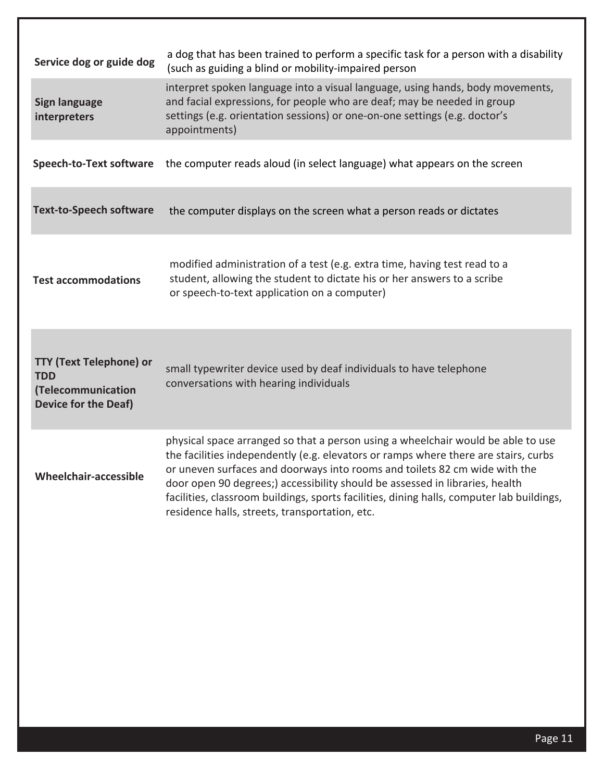| Service dog or guide dog                                                                          | a dog that has been trained to perform a specific task for a person with a disability<br>(such as guiding a blind or mobility-impaired person                                                                                                                                                                                                                                                                                                                                        |
|---------------------------------------------------------------------------------------------------|--------------------------------------------------------------------------------------------------------------------------------------------------------------------------------------------------------------------------------------------------------------------------------------------------------------------------------------------------------------------------------------------------------------------------------------------------------------------------------------|
| <b>Sign language</b><br>interpreters                                                              | interpret spoken language into a visual language, using hands, body movements,<br>and facial expressions, for people who are deaf; may be needed in group<br>settings (e.g. orientation sessions) or one-on-one settings (e.g. doctor's<br>appointments)                                                                                                                                                                                                                             |
| <b>Speech-to-Text software</b>                                                                    | the computer reads aloud (in select language) what appears on the screen                                                                                                                                                                                                                                                                                                                                                                                                             |
| <b>Text-to-Speech software</b>                                                                    | the computer displays on the screen what a person reads or dictates                                                                                                                                                                                                                                                                                                                                                                                                                  |
| <b>Test accommodations</b>                                                                        | modified administration of a test (e.g. extra time, having test read to a<br>student, allowing the student to dictate his or her answers to a scribe<br>or speech-to-text application on a computer)                                                                                                                                                                                                                                                                                 |
| <b>TTY (Text Telephone) or</b><br><b>TDD</b><br>(Telecommunication<br><b>Device for the Deaf)</b> | small typewriter device used by deaf individuals to have telephone<br>conversations with hearing individuals                                                                                                                                                                                                                                                                                                                                                                         |
| Wheelchair-accessible                                                                             | physical space arranged so that a person using a wheelchair would be able to use<br>the facilities independently (e.g. elevators or ramps where there are stairs, curbs<br>or uneven surfaces and doorways into rooms and toilets 82 cm wide with the<br>door open 90 degrees;) accessibility should be assessed in libraries, health<br>facilities, classroom buildings, sports facilities, dining halls, computer lab buildings,<br>residence halls, streets, transportation, etc. |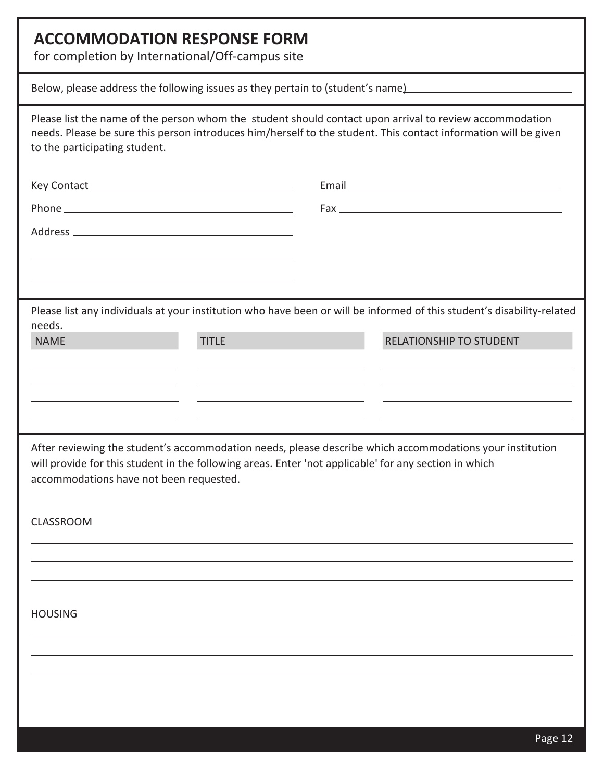## **ACCOMMODATION RESPONSE FORM**

for completion by International/Off-campus site

| ior completion by international on campas site                                                                                                                                                                                                               |                                |
|--------------------------------------------------------------------------------------------------------------------------------------------------------------------------------------------------------------------------------------------------------------|--------------------------------|
| Below, please address the following issues as they pertain to (student's name) [1982] [20] Below, please address the following issues as they pertain to (student's name)                                                                                    |                                |
| Please list the name of the person whom the student should contact upon arrival to review accommodation<br>needs. Please be sure this person introduces him/herself to the student. This contact information will be given<br>to the participating student.  |                                |
|                                                                                                                                                                                                                                                              |                                |
|                                                                                                                                                                                                                                                              |                                |
|                                                                                                                                                                                                                                                              |                                |
|                                                                                                                                                                                                                                                              |                                |
|                                                                                                                                                                                                                                                              |                                |
| Please list any individuals at your institution who have been or will be informed of this student's disability-related                                                                                                                                       |                                |
| needs.<br><b>TITLE</b><br><b>NAME</b>                                                                                                                                                                                                                        | <b>RELATIONSHIP TO STUDENT</b> |
|                                                                                                                                                                                                                                                              |                                |
|                                                                                                                                                                                                                                                              |                                |
|                                                                                                                                                                                                                                                              |                                |
| After reviewing the student's accommodation needs, please describe which accommodations your institution<br>will provide for this student in the following areas. Enter 'not applicable' for any section in which<br>accommodations have not been requested. |                                |
| <b>CLASSROOM</b>                                                                                                                                                                                                                                             |                                |
|                                                                                                                                                                                                                                                              |                                |
|                                                                                                                                                                                                                                                              |                                |
| <b>HOUSING</b>                                                                                                                                                                                                                                               |                                |
|                                                                                                                                                                                                                                                              |                                |
|                                                                                                                                                                                                                                                              |                                |
|                                                                                                                                                                                                                                                              |                                |
|                                                                                                                                                                                                                                                              |                                |